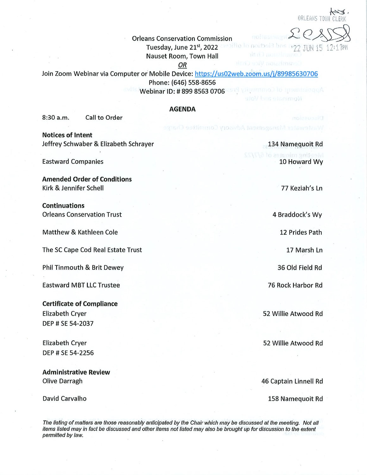$\overline{\mathcal{L}}$ ORLEANS TOWN CI

## Orleans Conservation Commission

Tuesday, June 21st, 2022 ansolito to noitbeld bos 1977 THN 15 17:17 PM

Nauset Room, Town Hall

OR

Join Zoom Webinar via Computer or Mobile Device: https://us02web.zoom.us/j/89985630706 Phone: (646) 558-8656 Webinar ID: # 899 8563 0706 2579 VinummoD to InsmitrioggA

## AGENDA

8:30 a.m. Call to Order

Notices of Intent Jeffrey Schwaber & Elizabeth Schrayer

Eastward Companies

Amended Order of Conditions Kirk & Jennifer Schell

Continuations Orleans Conservation Trust

Matthew & Kathleen Cole

The SC Cape Cod Real Estate Trust

Phil Tinmouth & Brit Dewey

Eastward MBT LLC Trustee

Certificate of Compliance Elizabeth Cryer DEP # SE 54-2037

Elizabeth Cryer DEP#SE 54-2256

Administrative Review Olive Darragh

David Carvalho

134 Namequoit Rd leeting minutes of 6/ 10 Howard Wy

Nominate and Vote

Wastewater Management Advisory Committee Charge

77 Keziah/s Ln

4 Braddock's Wy

12 Prides Path

17 Marsh Ln

36 Old Field Rd

76 Rock Harbor Rd

52 Willie Atwood Rd

52WillieAtwood Rd

46 Captain Linnell Rd

158 Namequoit Rd

The listing of matters are those reasonably anticipated by the Chair which may be discussed at the meeting. Not all items listed may in fact be discussed and other items not fisted may also be brought up for discussion to the extent permitted by law.